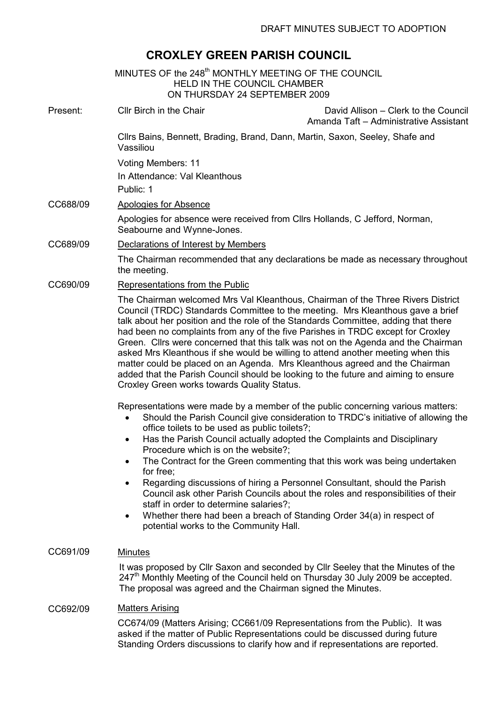# CROXLEY GREEN PARISH COUNCIL

| MINUTES OF the 248 <sup>th</sup> MONTHLY MEETING OF THE COUNCIL<br><b>HELD IN THE COUNCIL CHAMBER</b><br>ON THURSDAY 24 SEPTEMBER 2009 |                                                                                                                                                                                                                                                                                                                                                                                                                                                                                                                                                                                                                                                                                                                                                                                                       |  |
|----------------------------------------------------------------------------------------------------------------------------------------|-------------------------------------------------------------------------------------------------------------------------------------------------------------------------------------------------------------------------------------------------------------------------------------------------------------------------------------------------------------------------------------------------------------------------------------------------------------------------------------------------------------------------------------------------------------------------------------------------------------------------------------------------------------------------------------------------------------------------------------------------------------------------------------------------------|--|
| Present:                                                                                                                               | Cllr Birch in the Chair<br>David Allison - Clerk to the Council<br>Amanda Taft - Administrative Assistant                                                                                                                                                                                                                                                                                                                                                                                                                                                                                                                                                                                                                                                                                             |  |
|                                                                                                                                        | Cllrs Bains, Bennett, Brading, Brand, Dann, Martin, Saxon, Seeley, Shafe and<br>Vassiliou                                                                                                                                                                                                                                                                                                                                                                                                                                                                                                                                                                                                                                                                                                             |  |
|                                                                                                                                        | Voting Members: 11<br>In Attendance: Val Kleanthous<br>Public: 1                                                                                                                                                                                                                                                                                                                                                                                                                                                                                                                                                                                                                                                                                                                                      |  |
| CC688/09                                                                                                                               | <b>Apologies for Absence</b><br>Apologies for absence were received from Cllrs Hollands, C Jefford, Norman,<br>Seabourne and Wynne-Jones.                                                                                                                                                                                                                                                                                                                                                                                                                                                                                                                                                                                                                                                             |  |
| CC689/09                                                                                                                               | Declarations of Interest by Members                                                                                                                                                                                                                                                                                                                                                                                                                                                                                                                                                                                                                                                                                                                                                                   |  |
|                                                                                                                                        | The Chairman recommended that any declarations be made as necessary throughout<br>the meeting.                                                                                                                                                                                                                                                                                                                                                                                                                                                                                                                                                                                                                                                                                                        |  |
| CC690/09                                                                                                                               | Representations from the Public                                                                                                                                                                                                                                                                                                                                                                                                                                                                                                                                                                                                                                                                                                                                                                       |  |
|                                                                                                                                        | The Chairman welcomed Mrs Val Kleanthous, Chairman of the Three Rivers District<br>Council (TRDC) Standards Committee to the meeting. Mrs Kleanthous gave a brief<br>talk about her position and the role of the Standards Committee, adding that there<br>had been no complaints from any of the five Parishes in TRDC except for Croxley<br>Green. Cllrs were concerned that this talk was not on the Agenda and the Chairman<br>asked Mrs Kleanthous if she would be willing to attend another meeting when this<br>matter could be placed on an Agenda. Mrs Kleanthous agreed and the Chairman<br>added that the Parish Council should be looking to the future and aiming to ensure<br>Croxley Green works towards Quality Status.                                                               |  |
|                                                                                                                                        | Representations were made by a member of the public concerning various matters:<br>Should the Parish Council give consideration to TRDC's initiative of allowing the<br>$\bullet$<br>office toilets to be used as public toilets?;<br>Has the Parish Council actually adopted the Complaints and Disciplinary<br>Procedure which is on the website?;<br>The Contract for the Green commenting that this work was being undertaken<br>$\bullet$<br>for free;<br>Regarding discussions of hiring a Personnel Consultant, should the Parish<br>Council ask other Parish Councils about the roles and responsibilities of their<br>staff in order to determine salaries?;<br>Whether there had been a breach of Standing Order 34(a) in respect of<br>$\bullet$<br>potential works to the Community Hall. |  |
| CC691/09                                                                                                                               | <b>Minutes</b><br>It was proposed by Cllr Saxon and seconded by Cllr Seeley that the Minutes of the<br>247 <sup>th</sup> Monthly Meeting of the Council held on Thursday 30 July 2009 be accepted.<br>The proposal was agreed and the Chairman signed the Minutes.                                                                                                                                                                                                                                                                                                                                                                                                                                                                                                                                    |  |
| CC692/09                                                                                                                               | <b>Matters Arising</b><br>CC674/09 (Matters Arising; CC661/09 Representations from the Public). It was<br>asked if the matter of Public Representations could be discussed during future<br>Standing Orders discussions to clarify how and if representations are reported.                                                                                                                                                                                                                                                                                                                                                                                                                                                                                                                           |  |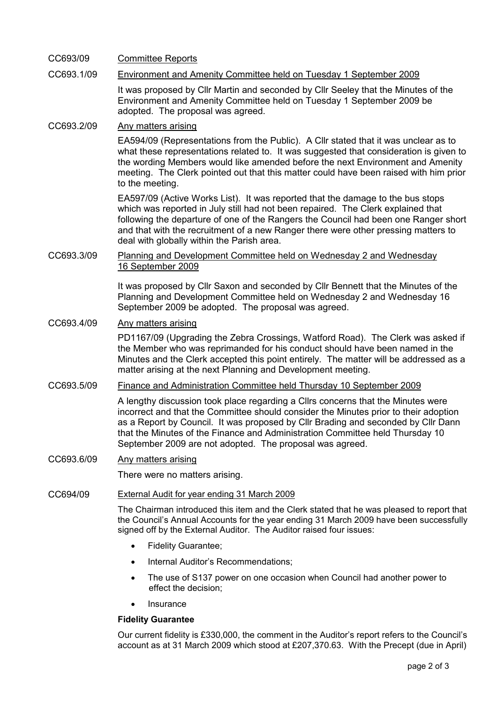# CC693/09 Committee Reports

# CC693.1/09 Environment and Amenity Committee held on Tuesday 1 September 2009

It was proposed by Cllr Martin and seconded by Cllr Seeley that the Minutes of the Environment and Amenity Committee held on Tuesday 1 September 2009 be adopted. The proposal was agreed.

# CC693.2/09 Any matters arising

EA594/09 (Representations from the Public). A Cllr stated that it was unclear as to what these representations related to. It was suggested that consideration is given to the wording Members would like amended before the next Environment and Amenity meeting. The Clerk pointed out that this matter could have been raised with him prior to the meeting.

EA597/09 (Active Works List). It was reported that the damage to the bus stops which was reported in July still had not been repaired. The Clerk explained that following the departure of one of the Rangers the Council had been one Ranger short and that with the recruitment of a new Ranger there were other pressing matters to deal with globally within the Parish area.

## CC693.3/09 Planning and Development Committee held on Wednesday 2 and Wednesday 16 September 2009

It was proposed by Cllr Saxon and seconded by Cllr Bennett that the Minutes of the Planning and Development Committee held on Wednesday 2 and Wednesday 16 September 2009 be adopted. The proposal was agreed.

# CC693.4/09 Any matters arising

PD1167/09 (Upgrading the Zebra Crossings, Watford Road). The Clerk was asked if the Member who was reprimanded for his conduct should have been named in the Minutes and the Clerk accepted this point entirely. The matter will be addressed as a matter arising at the next Planning and Development meeting.

## CC693.5/09 Finance and Administration Committee held Thursday 10 September 2009

A lengthy discussion took place regarding a Cllrs concerns that the Minutes were incorrect and that the Committee should consider the Minutes prior to their adoption as a Report by Council. It was proposed by Cllr Brading and seconded by Cllr Dann that the Minutes of the Finance and Administration Committee held Thursday 10 September 2009 are not adopted. The proposal was agreed.

### CC693.6/09 Any matters arising

There were no matters arising.

## CC694/09 External Audit for year ending 31 March 2009

The Chairman introduced this item and the Clerk stated that he was pleased to report that the Council's Annual Accounts for the year ending 31 March 2009 have been successfully signed off by the External Auditor. The Auditor raised four issues:

- Fidelity Guarantee;
- Internal Auditor's Recommendations;
- The use of S137 power on one occasion when Council had another power to effect the decision;
- **Insurance**

### Fidelity Guarantee

Our current fidelity is £330,000, the comment in the Auditor's report refers to the Council's account as at 31 March 2009 which stood at £207,370.63. With the Precept (due in April)